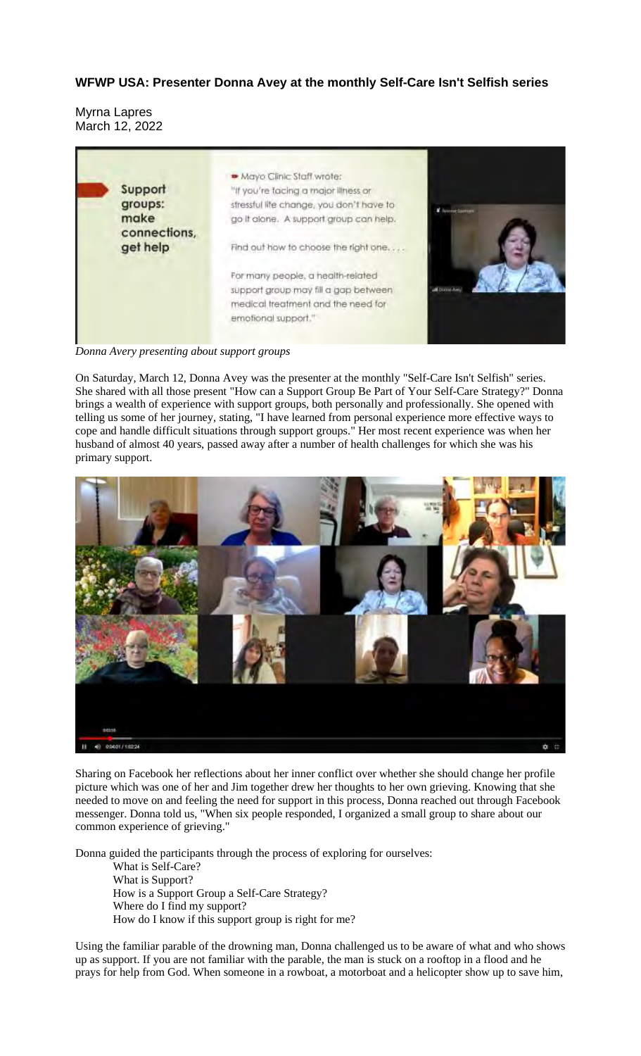## **WFWP USA: Presenter Donna Avey at the monthly Self-Care Isn't Selfish series**

Myrna Lapres March 12, 2022



*Donna Avery presenting about support groups*

On Saturday, March 12, Donna Avey was the presenter at the monthly "Self-Care Isn't Selfish" series. She shared with all those present "How can a Support Group Be Part of Your Self-Care Strategy?" Donna brings a wealth of experience with support groups, both personally and professionally. She opened with telling us some of her journey, stating, "I have learned from personal experience more effective ways to cope and handle difficult situations through support groups." Her most recent experience was when her husband of almost 40 years, passed away after a number of health challenges for which she was his primary support.



Sharing on Facebook her reflections about her inner conflict over whether she should change her profile picture which was one of her and Jim together drew her thoughts to her own grieving. Knowing that she needed to move on and feeling the need for support in this process, Donna reached out through Facebook messenger. Donna told us, "When six people responded, I organized a small group to share about our common experience of grieving."

Donna guided the participants through the process of exploring for ourselves: What is Self-Care? What is Support? How is a Support Group a Self-Care Strategy? Where do I find my support? How do I know if this support group is right for me?

Using the familiar parable of the drowning man, Donna challenged us to be aware of what and who shows up as support. If you are not familiar with the parable, the man is stuck on a rooftop in a flood and he prays for help from God. When someone in a rowboat, a motorboat and a helicopter show up to save him,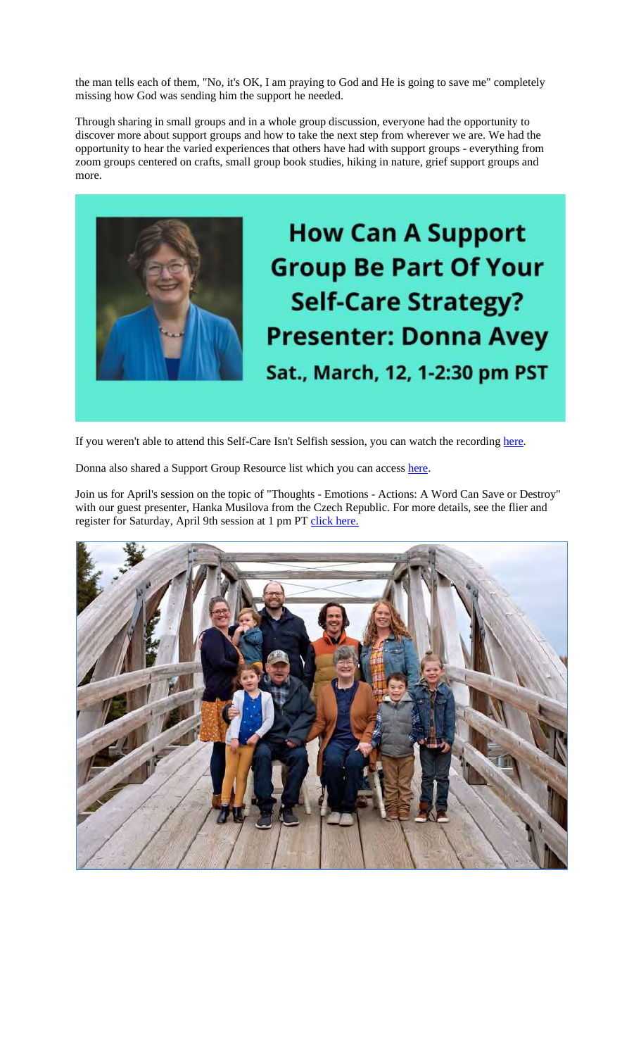the man tells each of them, "No, it's OK, I am praying to God and He is going to save me" completely missing how God was sending him the support he needed.

Through sharing in small groups and in a whole group discussion, everyone had the opportunity to discover more about support groups and how to take the next step from wherever we are. We had the opportunity to hear the varied experiences that others have had with support groups - everything from zoom groups centered on crafts, small group book studies, hiking in nature, grief support groups and more.



If you weren't able to attend this Self-Care Isn't Selfish session, you can watch the recording here.

Donna also shared a Support Group Resource list which you can access here.

Join us for April's session on the topic of "Thoughts - Emotions - Actions: A Word Can Save or Destroy" with our guest presenter, Hanka Musilova from the Czech Republic. For more details, see the flier and register for Saturday, April 9th session at 1 pm PT click here.